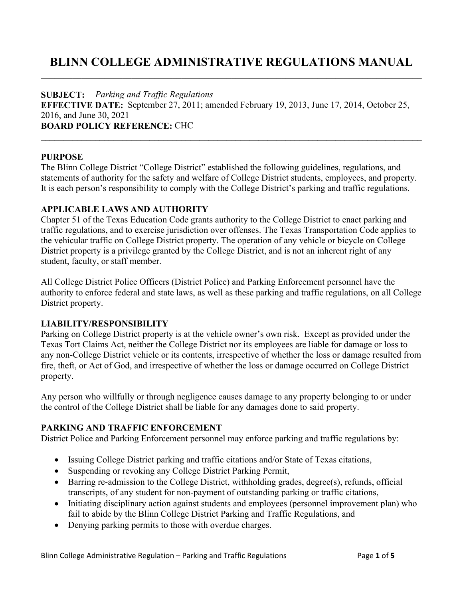# **BLINN COLLEGE ADMINISTRATIVE REGULATIONS MANUAL \_\_\_\_\_\_\_\_\_\_\_\_\_\_\_\_\_\_\_\_\_\_\_\_\_\_\_\_\_\_\_\_\_\_\_\_\_\_\_\_\_\_\_\_\_\_\_\_\_\_\_\_\_\_\_\_\_\_\_\_\_\_\_\_\_\_\_\_\_\_\_\_\_\_\_\_\_\_\_\_\_\_\_\_**

### **SUBJECT:** *Parking and Traffic Regulations*

**EFFECTIVE DATE:** September 27, 2011; amended February 19, 2013, June 17, 2014, October 25, 2016, and June 30, 2021 **BOARD POLICY REFERENCE:** CHC **\_\_\_\_\_\_\_\_\_\_\_\_\_\_\_\_\_\_\_\_\_\_\_\_\_\_\_\_\_\_\_\_\_\_\_\_\_\_\_\_\_\_\_\_\_\_\_\_\_\_\_\_\_\_\_\_\_\_\_\_\_\_\_\_\_\_\_\_\_\_\_\_\_\_\_\_\_\_\_\_\_\_\_\_** 

### **PURPOSE**

The Blinn College District "College District" established the following guidelines, regulations, and statements of authority for the safety and welfare of College District students, employees, and property. It is each person's responsibility to comply with the College District's parking and traffic regulations.

### **APPLICABLE LAWS AND AUTHORITY**

Chapter 51 of the Texas Education Code grants authority to the College District to enact parking and traffic regulations, and to exercise jurisdiction over offenses. The Texas Transportation Code applies to the vehicular traffic on College District property. The operation of any vehicle or bicycle on College District property is a privilege granted by the College District, and is not an inherent right of any student, faculty, or staff member.

All College District Police Officers (District Police) and Parking Enforcement personnel have the authority to enforce federal and state laws, as well as these parking and traffic regulations, on all College District property.

## **LIABILITY/RESPONSIBILITY**

Parking on College District property is at the vehicle owner's own risk. Except as provided under the Texas Tort Claims Act, neither the College District nor its employees are liable for damage or loss to any non-College District vehicle or its contents, irrespective of whether the loss or damage resulted from fire, theft, or Act of God, and irrespective of whether the loss or damage occurred on College District property.

Any person who willfully or through negligence causes damage to any property belonging to or under the control of the College District shall be liable for any damages done to said property.

## **PARKING AND TRAFFIC ENFORCEMENT**

District Police and Parking Enforcement personnel may enforce parking and traffic regulations by:

- Issuing College District parking and traffic citations and/or State of Texas citations,
- Suspending or revoking any College District Parking Permit,
- Barring re-admission to the College District, withholding grades, degree(s), refunds, official transcripts, of any student for non-payment of outstanding parking or traffic citations,
- Initiating disciplinary action against students and employees (personnel improvement plan) who fail to abide by the Blinn College District Parking and Traffic Regulations, and
- Denying parking permits to those with overdue charges.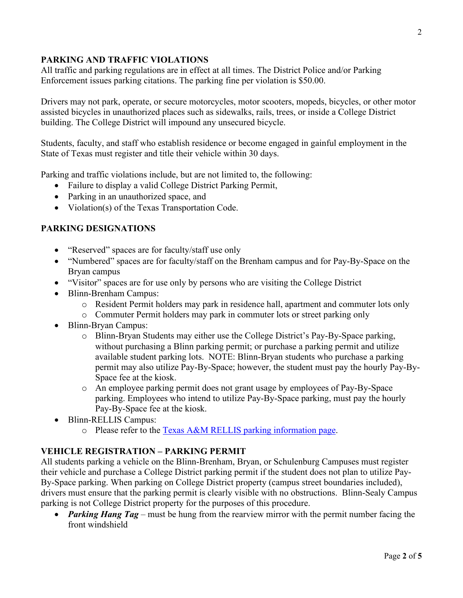## **PARKING AND TRAFFIC VIOLATIONS**

All traffic and parking regulations are in effect at all times. The District Police and/or Parking Enforcement issues parking citations. The parking fine per violation is \$50.00.

Drivers may not park, operate, or secure motorcycles, motor scooters, mopeds, bicycles, or other motor assisted bicycles in unauthorized places such as sidewalks, rails, trees, or inside a College District building. The College District will impound any unsecured bicycle.

Students, faculty, and staff who establish residence or become engaged in gainful employment in the State of Texas must register and title their vehicle within 30 days.

Parking and traffic violations include, but are not limited to, the following:

- Failure to display a valid College District Parking Permit,
- Parking in an unauthorized space, and
- Violation(s) of the Texas Transportation Code.

## **PARKING DESIGNATIONS**

- "Reserved" spaces are for faculty/staff use only
- "Numbered" spaces are for faculty/staff on the Brenham campus and for Pay-By-Space on the Bryan campus
- "Visitor" spaces are for use only by persons who are visiting the College District
- Blinn-Brenham Campus:
	- o Resident Permit holders may park in residence hall, apartment and commuter lots only
	- o Commuter Permit holders may park in commuter lots or street parking only
- Blinn-Bryan Campus:
	- o Blinn-Bryan Students may either use the College District's Pay-By-Space parking, without purchasing a Blinn parking permit; or purchase a parking permit and utilize available student parking lots. NOTE: Blinn-Bryan students who purchase a parking permit may also utilize Pay-By-Space; however, the student must pay the hourly Pay-By-Space fee at the kiosk.
	- o An employee parking permit does not grant usage by employees of Pay-By-Space parking. Employees who intend to utilize Pay-By-Space parking, must pay the hourly Pay-By-Space fee at the kiosk.
- Blinn-RELLIS Campus:
	- o Please refer to the [Texas A&M RELLIS parking information page.](http://transport.tamu.edu/parking/faqrellis.aspx#park)

## **VEHICLE REGISTRATION – PARKING PERMIT**

All students parking a vehicle on the Blinn-Brenham, Bryan, or Schulenburg Campuses must register their vehicle and purchase a College District parking permit if the student does not plan to utilize Pay-By-Space parking. When parking on College District property (campus street boundaries included), drivers must ensure that the parking permit is clearly visible with no obstructions. Blinn-Sealy Campus parking is not College District property for the purposes of this procedure.

• *Parking Hang Tag* – must be hung from the rearview mirror with the permit number facing the front windshield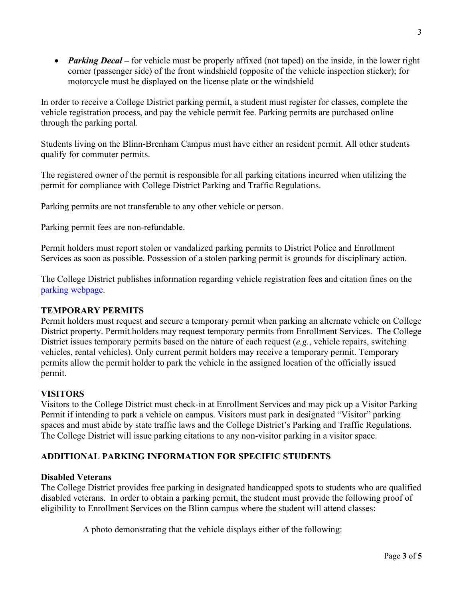• *Parking Decal* – for vehicle must be properly affixed (not taped) on the inside, in the lower right corner (passenger side) of the front windshield (opposite of the vehicle inspection sticker); for motorcycle must be displayed on the license plate or the windshield

In order to receive a College District parking permit, a student must register for classes, complete the vehicle registration process, and pay the vehicle permit fee. Parking permits are purchased online through the parking portal.

Students living on the Blinn-Brenham Campus must have either an resident permit. All other students qualify for commuter permits.

The registered owner of the permit is responsible for all parking citations incurred when utilizing the permit for compliance with College District Parking and Traffic Regulations.

Parking permits are not transferable to any other vehicle or person.

Parking permit fees are non-refundable.

Permit holders must report stolen or vandalized parking permits to District Police and Enrollment Services as soon as possible. Possession of a stolen parking permit is grounds for disciplinary action.

The College District publishes information regarding vehicle registration fees and citation fines on the [parking webpage.](http://www.blinn.edu/parking/index.html)

### **TEMPORARY PERMITS**

Permit holders must request and secure a temporary permit when parking an alternate vehicle on College District property. Permit holders may request temporary permits from Enrollment Services. The College District issues temporary permits based on the nature of each request (*e.g.*, vehicle repairs, switching vehicles, rental vehicles). Only current permit holders may receive a temporary permit. Temporary permits allow the permit holder to park the vehicle in the assigned location of the officially issued permit.

### **VISITORS**

Visitors to the College District must check-in at Enrollment Services and may pick up a Visitor Parking Permit if intending to park a vehicle on campus. Visitors must park in designated "Visitor" parking spaces and must abide by state traffic laws and the College District's Parking and Traffic Regulations. The College District will issue parking citations to any non-visitor parking in a visitor space.

## **ADDITIONAL PARKING INFORMATION FOR SPECIFIC STUDENTS**

### **Disabled Veterans**

The College District provides free parking in designated handicapped spots to students who are qualified disabled veterans. In order to obtain a parking permit, the student must provide the following proof of eligibility to Enrollment Services on the Blinn campus where the student will attend classes:

A photo demonstrating that the vehicle displays either of the following: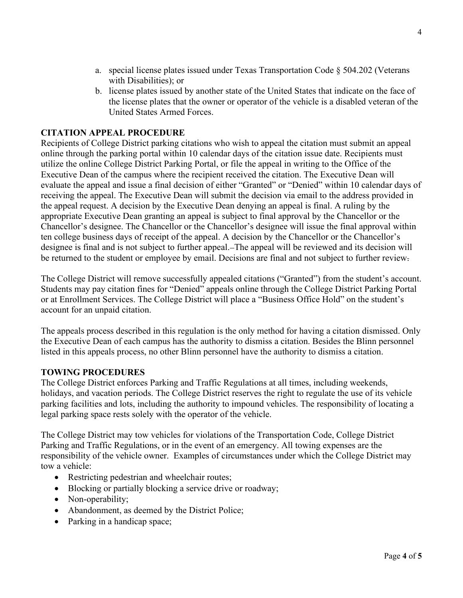- a. special license plates issued under Texas Transportation Code § 504.202 (Veterans with Disabilities); or
- b. license plates issued by another state of the United States that indicate on the face of the license plates that the owner or operator of the vehicle is a disabled veteran of the United States Armed Forces.

### **CITATION APPEAL PROCEDURE**

Recipients of College District parking citations who wish to appeal the citation must submit an appeal online through the parking portal within 10 calendar days of the citation issue date. Recipients must utilize the online College District Parking Portal, or file the appeal in writing to the Office of the Executive Dean of the campus where the recipient received the citation. The Executive Dean will evaluate the appeal and issue a final decision of either "Granted" or "Denied" within 10 calendar days of receiving the appeal. The Executive Dean will submit the decision via email to the address provided in the appeal request. A decision by the Executive Dean denying an appeal is final. A ruling by the appropriate Executive Dean granting an appeal is subject to final approval by the Chancellor or the Chancellor's designee. The Chancellor or the Chancellor's designee will issue the final approval within ten college business days of receipt of the appeal. A decision by the Chancellor or the Chancellor's designee is final and is not subject to further appeal. The appeal will be reviewed and its decision will be returned to the student or employee by email. Decisions are final and not subject to further review.

The College District will remove successfully appealed citations ("Granted") from the student's account. Students may pay citation fines for "Denied" appeals online through the College District Parking Portal or at Enrollment Services. The College District will place a "Business Office Hold" on the student's account for an unpaid citation.

The appeals process described in this regulation is the only method for having a citation dismissed. Only the Executive Dean of each campus has the authority to dismiss a citation. Besides the Blinn personnel listed in this appeals process, no other Blinn personnel have the authority to dismiss a citation.

### **TOWING PROCEDURES**

The College District enforces Parking and Traffic Regulations at all times, including weekends, holidays, and vacation periods. The College District reserves the right to regulate the use of its vehicle parking facilities and lots, including the authority to impound vehicles. The responsibility of locating a legal parking space rests solely with the operator of the vehicle.

The College District may tow vehicles for violations of the Transportation Code, College District Parking and Traffic Regulations, or in the event of an emergency. All towing expenses are the responsibility of the vehicle owner. Examples of circumstances under which the College District may tow a vehicle:

- Restricting pedestrian and wheelchair routes;
- Blocking or partially blocking a service drive or roadway;
- Non-operability;
- Abandonment, as deemed by the District Police;
- Parking in a handicap space;